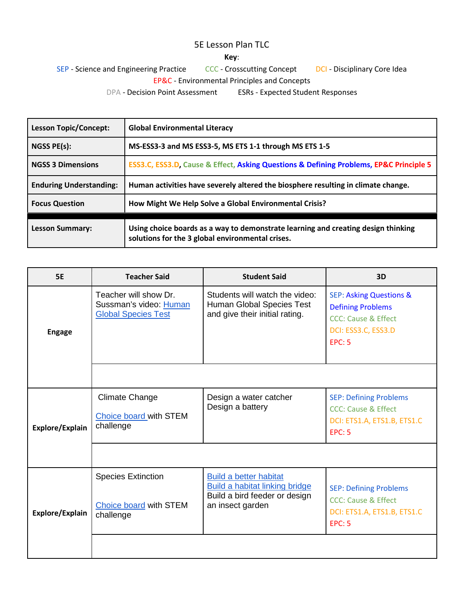## 5E Lesson Plan TLC

## **Key**:

SEP - Science and Engineering Practice CCC - Crosscutting Concept DCI - Disciplinary Core Idea EP&C - Environmental Principles and Concepts

DPA - Decision Point Assessment ESRs - Expected Student Responses

| <b>Lesson Topic/Concept:</b>   | <b>Global Environmental Literacy</b>                                                                                                  |  |
|--------------------------------|---------------------------------------------------------------------------------------------------------------------------------------|--|
| NGSS PE(s):                    | MS-ESS3-3 and MS ESS3-5, MS ETS 1-1 through MS ETS 1-5                                                                                |  |
| <b>NGSS 3 Dimensions</b>       | ESS3.C, ESS3.D, Cause & Effect, Asking Questions & Defining Problems, EP&C Principle 5                                                |  |
| <b>Enduring Understanding:</b> | Human activities have severely altered the biosphere resulting in climate change.                                                     |  |
| <b>Focus Question</b>          | How Might We Help Solve a Global Environmental Crisis?                                                                                |  |
| <b>Lesson Summary:</b>         | Using choice boards as a way to demonstrate learning and creating design thinking<br>solutions for the 3 global environmental crises. |  |

| <b>5E</b>       | <b>Teacher Said</b>                                                           | <b>Student Said</b>                                                                                                         | 3D                                                                                                                                       |
|-----------------|-------------------------------------------------------------------------------|-----------------------------------------------------------------------------------------------------------------------------|------------------------------------------------------------------------------------------------------------------------------------------|
| <b>Engage</b>   | Teacher will show Dr.<br>Sussman's video: Human<br><b>Global Species Test</b> | Students will watch the video:<br>Human Global Species Test<br>and give their initial rating.                               | <b>SEP: Asking Questions &amp;</b><br><b>Defining Problems</b><br><b>CCC: Cause &amp; Effect</b><br>DCI: ESS3.C, ESS3.D<br><b>EPC: 5</b> |
|                 |                                                                               |                                                                                                                             |                                                                                                                                          |
| Explore/Explain | <b>Climate Change</b><br><b>Choice board with STEM</b><br>challenge           | Design a water catcher<br>Design a battery                                                                                  | <b>SEP: Defining Problems</b><br><b>CCC: Cause &amp; Effect</b><br>DCI: ETS1.A, ETS1.B, ETS1.C<br><b>EPC: 5</b>                          |
|                 |                                                                               |                                                                                                                             |                                                                                                                                          |
| Explore/Explain | <b>Species Extinction</b><br><b>Choice board with STEM</b><br>challenge       | <b>Build a better habitat</b><br><b>Build a habitat linking bridge</b><br>Build a bird feeder or design<br>an insect garden | <b>SEP: Defining Problems</b><br><b>CCC: Cause &amp; Effect</b><br>DCI: ETS1.A, ETS1.B, ETS1.C<br><b>EPC: 5</b>                          |
|                 |                                                                               |                                                                                                                             |                                                                                                                                          |